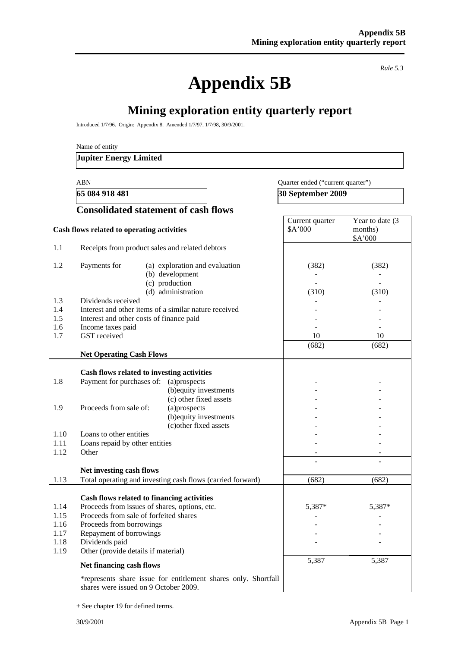# **Appendix 5B**

*Rule 5.3* 

# **Mining exploration entity quarterly report**

Introduced 1/7/96. Origin: Appendix 8. Amended 1/7/97, 1/7/98, 30/9/2001.

Name of entity

#### **Jupiter Energy Limited**

#### ABN Quarter ended ("current quarter")

**65 084 918 481 30 September 2009** 

|                                              | <b>Consolidated statement of cash flows</b>                                                                                                                                                                                                           |                            |                                       |  |
|----------------------------------------------|-------------------------------------------------------------------------------------------------------------------------------------------------------------------------------------------------------------------------------------------------------|----------------------------|---------------------------------------|--|
|                                              | Cash flows related to operating activities                                                                                                                                                                                                            | Current quarter<br>\$A'000 | Year to date (3<br>months)<br>\$A'000 |  |
| 1.1                                          | Receipts from product sales and related debtors                                                                                                                                                                                                       |                            |                                       |  |
| 1.2                                          | Payments for<br>(a) exploration and evaluation<br>(b) development<br>(c) production<br>(d) administration                                                                                                                                             | (382)<br>(310)             | (382)<br>(310)                        |  |
| 1.3<br>1.4<br>1.5<br>1.6<br>1.7              | Dividends received<br>Interest and other items of a similar nature received<br>Interest and other costs of finance paid<br>Income taxes paid<br>GST received                                                                                          | 10                         | 10                                    |  |
|                                              | <b>Net Operating Cash Flows</b>                                                                                                                                                                                                                       | (682)                      | (682)                                 |  |
| 1.8                                          | Cash flows related to investing activities<br>Payment for purchases of:<br>(a)prospects<br>(b) equity investments<br>(c) other fixed assets                                                                                                           |                            |                                       |  |
| 1.9                                          | Proceeds from sale of:<br>(a)prospects<br>(b) equity investments<br>(c) other fixed assets                                                                                                                                                            |                            |                                       |  |
| 1.10<br>1.11<br>1.12                         | Loans to other entities<br>Loans repaid by other entities<br>Other                                                                                                                                                                                    |                            |                                       |  |
| 1.13                                         | Net investing cash flows<br>Total operating and investing cash flows (carried forward)                                                                                                                                                                | (682)                      | (682)                                 |  |
| 1.14<br>1.15<br>1.16<br>1.17<br>1.18<br>1.19 | Cash flows related to financing activities<br>Proceeds from issues of shares, options, etc.<br>Proceeds from sale of forfeited shares<br>Proceeds from borrowings<br>Repayment of borrowings<br>Dividends paid<br>Other (provide details if material) | 5,387*<br>5,387            | 5,387*<br>5,387                       |  |
|                                              | Net financing cash flows<br>*represents share issue for entitlement shares only. Shortfall<br>shares were issued on 9 October 2009.                                                                                                                   |                            |                                       |  |

+ See chapter 19 for defined terms.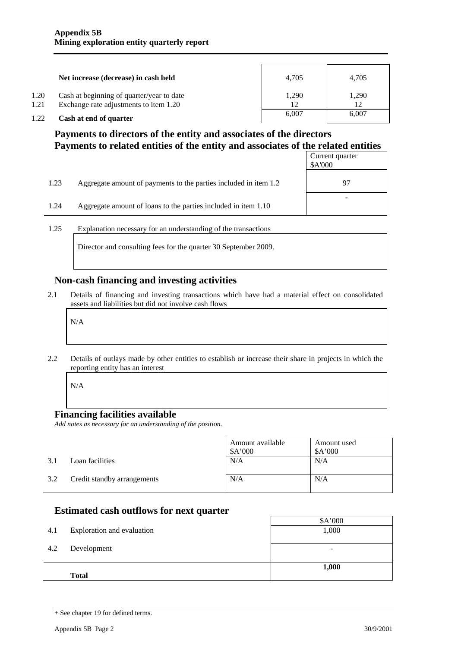|              | Net increase (decrease) in cash held                                                | 4.705 | 4.705       |
|--------------|-------------------------------------------------------------------------------------|-------|-------------|
| 1.20<br>1.21 | Cash at beginning of quarter/year to date<br>Exchange rate adjustments to item 1.20 | 1.290 | 1,290<br>12 |
| 1.22         | Cash at end of quarter                                                              | 6.007 | 6,007       |

### **Payments to directors of the entity and associates of the directors Payments to related entities of the entity and associates of the related entities**

|      |                                                                  | Current quarter<br>\$A'000 |
|------|------------------------------------------------------------------|----------------------------|
| 1.23 | Aggregate amount of payments to the parties included in item 1.2 | 97                         |
| 1.24 | Aggregate amount of loans to the parties included in item 1.10   |                            |

1.25 Explanation necessary for an understanding of the transactions

Director and consulting fees for the quarter 30 September 2009.

#### **Non-cash financing and investing activities**

2.1 Details of financing and investing transactions which have had a material effect on consolidated assets and liabilities but did not involve cash flows

N/A

2.2 Details of outlays made by other entities to establish or increase their share in projects in which the reporting entity has an interest

N/A

#### **Financing facilities available**

*Add notes as necessary for an understanding of the position.* 

|     |                             | Amount available<br>A'000 | Amount used<br>\$A'000 |
|-----|-----------------------------|---------------------------|------------------------|
| 3.1 | Loan facilities             | N/A                       | N/A                    |
| 3.2 | Credit standby arrangements | N/A                       | N/A                    |

#### **Estimated cash outflows for next quarter**

| 4.1 | Exploration and evaluation | \$A'000<br>1,000         |
|-----|----------------------------|--------------------------|
| 4.2 | Development                | $\overline{\phantom{0}}$ |
|     | <b>Total</b>               | 1,000                    |

<sup>+</sup> See chapter 19 for defined terms.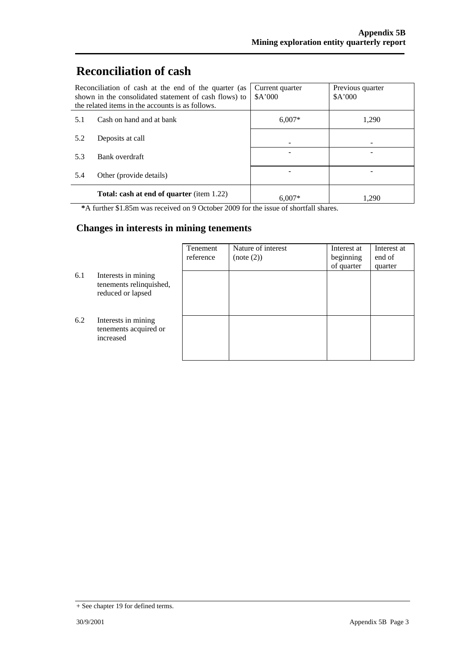# **Reconciliation of cash**

| Reconciliation of cash at the end of the quarter (as<br>shown in the consolidated statement of cash flows) to<br>the related items in the accounts is as follows. |                                                  | Current quarter<br>A'000 | Previous quarter<br>A'000 |
|-------------------------------------------------------------------------------------------------------------------------------------------------------------------|--------------------------------------------------|--------------------------|---------------------------|
| 5.1                                                                                                                                                               | Cash on hand and at bank                         | $6.007*$                 | 1,290                     |
| 5.2                                                                                                                                                               | Deposits at call                                 |                          |                           |
| 5.3                                                                                                                                                               | Bank overdraft                                   |                          |                           |
| 5.4                                                                                                                                                               | Other (provide details)                          |                          |                           |
|                                                                                                                                                                   | <b>Total: cash at end of quarter</b> (item 1.22) | $6.007*$                 | 1.290                     |

**\***A further \$1.85m was received on 9 October 2009 for the issue of shortfall shares.

### **Changes in interests in mining tenements**

|     |                                                                     | Tenement<br>reference | Nature of interest<br>(note (2)) | Interest at<br>beginning<br>of quarter | Interest at<br>end of<br>quarter |
|-----|---------------------------------------------------------------------|-----------------------|----------------------------------|----------------------------------------|----------------------------------|
| 6.1 | Interests in mining<br>tenements relinquished,<br>reduced or lapsed |                       |                                  |                                        |                                  |
| 6.2 | Interests in mining<br>tenements acquired or<br>increased           |                       |                                  |                                        |                                  |

<sup>+</sup> See chapter 19 for defined terms.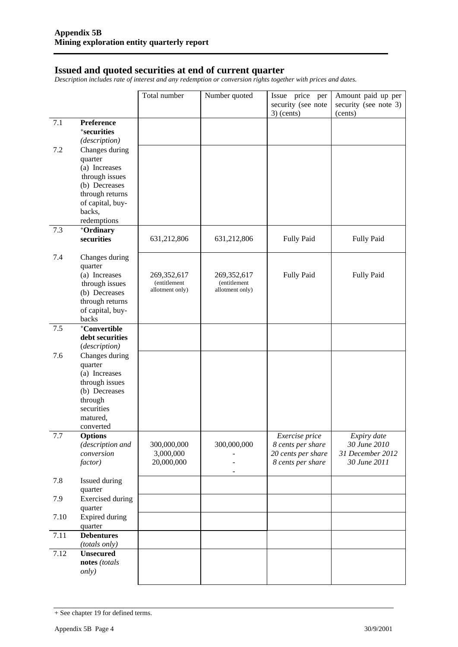#### **Issued and quoted securities at end of current quarter**

*Description includes rate of interest and any redemption or conversion rights together with prices and dates.* 

|            |                                                                                                                                               | Total number                                   | Number quoted                                  | Issue price per<br>security (see note                                          | Amount paid up per<br>security (see note 3)                     |
|------------|-----------------------------------------------------------------------------------------------------------------------------------------------|------------------------------------------------|------------------------------------------------|--------------------------------------------------------------------------------|-----------------------------------------------------------------|
|            |                                                                                                                                               |                                                |                                                | $3)$ (cents)                                                                   | (cents)                                                         |
| 7.1        | Preference<br><sup>+</sup> securities<br>(description)                                                                                        |                                                |                                                |                                                                                |                                                                 |
| 7.2        | Changes during<br>quarter<br>(a) Increases<br>through issues<br>(b) Decreases<br>through returns                                              |                                                |                                                |                                                                                |                                                                 |
|            | of capital, buy-<br>backs,<br>redemptions                                                                                                     |                                                |                                                |                                                                                |                                                                 |
| 7.3        | +Ordinary                                                                                                                                     |                                                |                                                |                                                                                |                                                                 |
|            | securities                                                                                                                                    | 631,212,806                                    | 631,212,806                                    | <b>Fully Paid</b>                                                              | Fully Paid                                                      |
| 7.4<br>7.5 | Changes during<br>quarter<br>(a) Increases<br>through issues<br>(b) Decreases<br>through returns<br>of capital, buy-<br>backs<br>+Convertible | 269,352,617<br>(entitlement<br>allotment only) | 269,352,617<br>(entitlement<br>allotment only) | <b>Fully Paid</b>                                                              | Fully Paid                                                      |
|            | debt securities<br>(description)                                                                                                              |                                                |                                                |                                                                                |                                                                 |
| 7.6        | Changes during<br>quarter<br>(a) Increases<br>through issues<br>(b) Decreases<br>through<br>securities<br>matured,<br>converted               |                                                |                                                |                                                                                |                                                                 |
| 7.7        | <b>Options</b><br>(description and<br>conversion<br>factor)                                                                                   | 300,000,000<br>3,000,000<br>20,000,000         | 300,000,000                                    | Exercise price<br>8 cents per share<br>20 cents per share<br>8 cents per share | Expiry date<br>30 June 2010<br>31 December 2012<br>30 June 2011 |
| 7.8        | Issued during<br>quarter                                                                                                                      |                                                |                                                |                                                                                |                                                                 |
| 7.9        | <b>Exercised</b> during<br>quarter                                                                                                            |                                                |                                                |                                                                                |                                                                 |
| 7.10       | <b>Expired during</b><br>quarter                                                                                                              |                                                |                                                |                                                                                |                                                                 |
| 7.11       | <b>Debentures</b><br>(totals only)                                                                                                            |                                                |                                                |                                                                                |                                                                 |
| 7.12       | <b>Unsecured</b><br>notes (totals<br><i>only</i> )                                                                                            |                                                |                                                |                                                                                |                                                                 |

<sup>+</sup> See chapter 19 for defined terms.